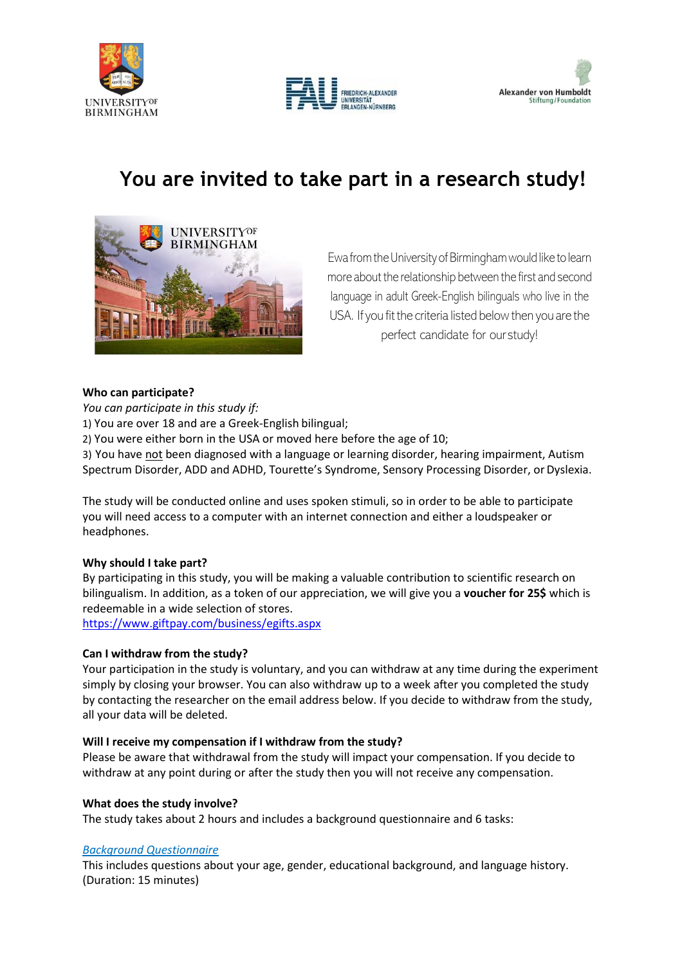





# **You are invited to take part in a research study!**



Ewa from the University of Birmingham would like to learn more about the relationship between the first and second language in adult Greek-English bilinguals who live in the USA. If you fit the criteria listed below then you are the perfect candidate for our study!

### **Who can participate?**

*You can participate in this study if:* 1) You are over 18 and are a Greek-English bilingual; 2) You were either born in the USA or moved here before the age of 10; 3) You have not been diagnosed with a language or learning disorder, hearing impairment, Autism Spectrum Disorder, ADD and ADHD, Tourette's Syndrome, Sensory Processing Disorder, or Dyslexia.

The study will be conducted online and uses spoken stimuli, so in order to be able to participate you will need access to a computer with an internet connection and either a loudspeaker or headphones.

### **Why should I take part?**

By participating in this study, you will be making a valuable contribution to scientific research on bilingualism. In addition, as a token of our appreciation, we will give you a **voucher for 25\$** which is redeemable in a wide selection of stores. <https://www.giftpay.com/business/egifts.aspx>

### **Can I withdraw from the study?**

Your participation in the study is voluntary, and you can withdraw at any time during the experiment simply by closing your browser. You can also withdraw up to a week after you completed the study by contacting the researcher on the email address below. If you decide to withdraw from the study, all your data will be deleted.

### **Will I receive my compensation if I withdraw from the study?**

Please be aware that withdrawal from the study will impact your compensation. If you decide to withdraw at any point during or after the study then you will not receive any compensation.

### **What does the study involve?**

The study takes about 2 hours and includes a background questionnaire and 6 tasks:

### *Background Questionnaire*

This includes questions about your age, gender, educational background, and language history. (Duration: 15 minutes)